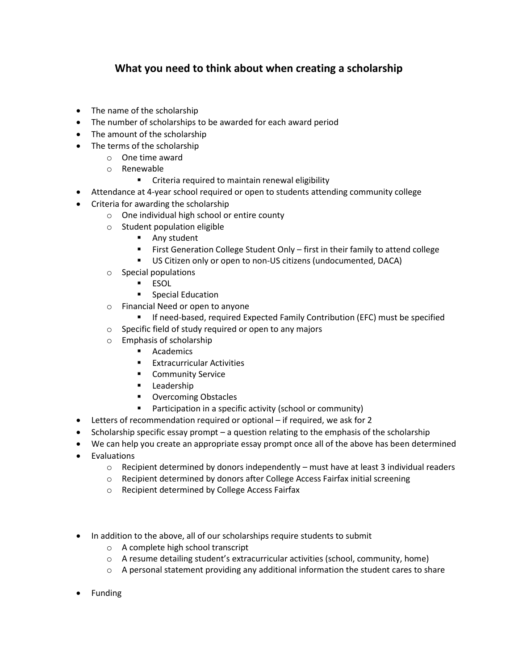## **What you need to think about when creating a scholarship**

- The name of the scholarship
- The number of scholarships to be awarded for each award period
- The amount of the scholarship
- The terms of the scholarship
	- o One time award
	- o Renewable
		- Criteria required to maintain renewal eligibility
- Attendance at 4-year school required or open to students attending community college
- Criteria for awarding the scholarship
	- o One individual high school or entire county
	- o Student population eligible
		- Any student
		- First Generation College Student Only first in their family to attend college
		- US Citizen only or open to non-US citizens (undocumented, DACA)
	- o Special populations
		- ESOL
		- Special Education
	- o Financial Need or open to anyone
		- If need-based, required Expected Family Contribution (EFC) must be specified
	- o Specific field of study required or open to any majors
	- o Emphasis of scholarship
		- Academics
		- Extracurricular Activities
		- Community Service
		- Leadership
		- Overcoming Obstacles
		- Participation in a specific activity (school or community)
- Letters of recommendation required or optional if required, we ask for 2
- Scholarship specific essay prompt a question relating to the emphasis of the scholarship
- We can help you create an appropriate essay prompt once all of the above has been determined
- Evaluations
	- $\circ$  Recipient determined by donors independently must have at least 3 individual readers
	- o Recipient determined by donors after College Access Fairfax initial screening
	- o Recipient determined by College Access Fairfax
- In addition to the above, all of our scholarships require students to submit
	- o A complete high school transcript
	- $\circ$  A resume detailing student's extracurricular activities (school, community, home)
	- $\circ$  A personal statement providing any additional information the student cares to share
- Funding